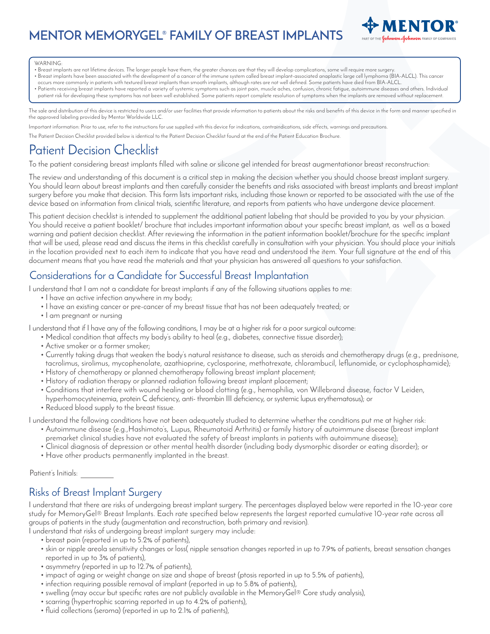**MENTOR MEMORYGEL® FAMILY OF BREAST IMPLANTS**



#### WARNING:

- Breast implants are not lifetime devices. The longer people have them, the greater chances are that they will develop complications, some will require more surgery.
- Breast implants have been associated with the development of a cancer of the immune system called breast implant-associated anaplastic large cell lymphoma (BIA-ALCL). This cancer occurs more commonly in patients with textured breast implants than smooth implants, although rates are not well defined. Some patients have died from BIA-ALCL.
- Patients receiving breast implants have reported a variety of systemic symptoms such as joint pain, muscle aches, confusion, chronic fatigue, autoimmune diseases and others. Individual patient risk for developing these symptoms has not been well established. Some patients report complete resolution of symptoms when the implants are removed without replacement.

The sale and distribution of this device is restricted to users and/or user facilities that provide information to patients about the risks and benefits of this device in the form and manner specified in the approved labeling provided by Mentor Worldwide LLC.

Important information: Prior to use, refer to the instructions for use supplied with this device for indications, contraindications, side effects, warnings and precautions.

The Patient Decision Checklist provided below is identical to the Patient Decision Checklist found at the end of the Patient Education Brochure.

# Patient Decision Checklist

To the patient considering breast implants filled with saline or silicone gel intended for breast augmentationor breast reconstruction:

The review and understanding of this document is a critical step in making the decision whether you should choose breast implant surgery. You should learn about breast implants and then carefully consider the benefits and risks associated with breast implants and breast implant surgery before you make that decision. This form lists important risks, including those known or reported to be associated with the use of the device based on information from clinical trials, scientific literature, and reports from patients who have undergone device placement.

This patient decision checklist is intended to supplement the additional patient labeling that should be provided to you by your physician. You should receive a patient booklet/ brochure that includes important information about your specific breast implant, as well as a boxed warning and patient decision checklist. After reviewing the information in the patient information booklet/brochure for the specific implant that will be used, please read and discuss the items in this checklist carefully in consultation with your physician. You should place your initials in the location provided next to each item to indicate that you have read and understood the item. Your full signature at the end of this document means that you have read the materials and that your physician has answered all questions to your satisfaction.

# Considerations for a Candidate for Successful Breast Implantation

I understand that I am not a candidate for breast implants if any of the following situations applies to me:

- I have an active infection anywhere in my body;
- I have an existing cancer or pre-cancer of my breast tissue that has not been adequately treated; or
- I am pregnant or nursing

I understand that if I have any of the following conditions, I may be at a higher risk for a poor surgical outcome:

- Medical condition that affects my body's ability to heal (e.g., diabetes, connective tissue disorder);
- Active smoker or a former smoker;
- Currently taking drugs that weaken the body's natural resistance to disease, such as steroids and chemotherapy drugs (e.g., prednisone, tacrolimus, sirolimus, mycophenolate, azathioprine, cyclosporine, methotrexate, chlorambucil, leflunomide, or cyclophosphamide);
- History of chemotherapy or planned chemotherapy following breast implant placement;
- History of radiation therapy or planned radiation following breast implant placement;
- Conditions that interfere with wound healing or blood clotting (e.g., hemophilia, von Willebrand disease, factor V Leiden,
- hyperhomocysteinemia, protein C deficiency, anti- thrombin III deficiency, or systemic lupus erythematosus); or
- Reduced blood supply to the breast tissue.
- I understand the following conditions have not been adequately studied to determine whether the conditions put me at higher risk:
	- Autoimmune disease (e.g.,Hashimoto's, Lupus, Rheumatoid Arthritis) or family history of autoimmune disease (breast implant premarket clinical studies have not evaluated the safety of breast implants in patients with autoimmune disease);
	- Clinical diagnosis of depression or other mental health disorder (including body dysmorphic disorder or eating disorder); or
	- Have other products permanently implanted in the breast.

Patient's Initials:

### Risks of Breast Implant Surgery

I understand that there are risks of undergoing breast implant surgery. The percentages displayed below were reported in the 10-year core study for MemoryGel® Breast Implants. Each rate specified below represents the largest reported cumulative 10-year rate across all groups of patients in the study (augmentation and reconstruction, both primary and revision).

I understand that risks of undergoing breast implant surgery may include:

- breast pain (reported in up to 5.2% of patients),
- skin or nipple areola sensitivity changes or loss( nipple sensation changes reported in up to 7.9% of patients, breast sensation changes reported in up to 3% of patients),
- asymmetry (reported in up to 12.7% of patients),
- impact of aging or weight change on size and shape of breast (ptosis reported in up to 5.5% of patients),
- infection requiring possible removal of implant (reported in up to 5.8% of patients),
- swelling (may occur but specific rates are not publicly available in the MemoryGel® Core study analysis),
- scarring (hypertrophic scarring reported in up to 4.2% of patients),
- fluid collections (seroma) (reported in up to 2.1% of patients),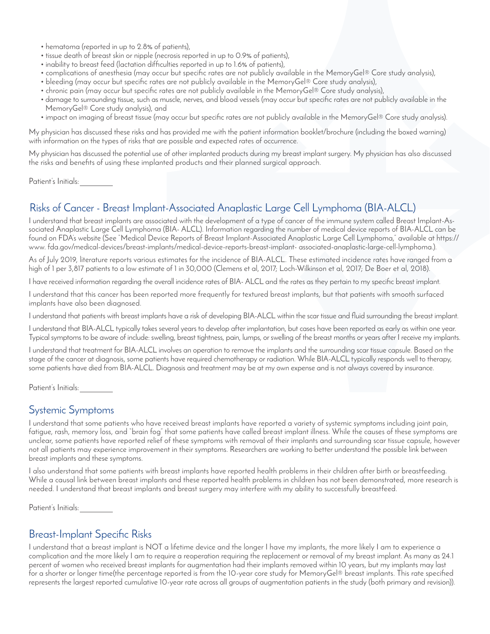- hematoma (reported in up to 2.8% of patients),
- tissue death of breast skin or nipple (necrosis reported in up to 0.9% of patients),
- inability to breast feed (lactation difficulties reported in up to 1.6% of patients),
- complications of anesthesia (may occur but specific rates are not publicly available in the MemoryGel® Core study analysis),
- bleeding (may occur but specific rates are not publicly available in the MemoryGel® Core study analysis),
- chronic pain (may occur but specific rates are not publicly available in the MemoryGel® Core study analysis),
- damage to surrounding tissue, such as muscle, nerves, and blood vessels (may occur but specific rates are not publicly available in the MemoryGel® Core study analysis), and
- impact on imaging of breast tissue (may occur but specific rates are not publicly available in the MemoryGel® Core study analysis).

My physician has discussed these risks and has provided me with the patient information booklet/brochure (including the boxed warning) with information on the types of risks that are possible and expected rates of occurrence.

My physician has discussed the potential use of other implanted products during my breast implant surgery. My physician has also discussed the risks and benefits of using these implanted products and their planned surgical approach.

Patient's Initials:

# Risks of Cancer - Breast Implant-Associated Anaplastic Large Cell Lymphoma (BIA-ALCL)

I understand that breast implants are associated with the development of a type of cancer of the immune system called Breast Implant-Associated Anaplastic Large Cell Lymphoma (BIA- ALCL). Information regarding the number of medical device reports of BIA-ALCL can be found on FDA's website (See "Medical Device Reports of Breast Implant-Associated Anaplastic Large Cell Lymphoma," available at https:// www. fda.gov/medical-devices/breast-implants/medical-device-reports-breast-implant- associated-anaplastic-large-cell-lymphoma.).

As of July 2019, literature reports various estimates for the incidence of BIA-ALCL. These estimated incidence rates have ranged from a high of 1 per 3,817 patients to a low estimate of 1 in 30,000 (Clemens et al, 2017; Loch-Wilkinson et al, 2017; De Boer et al, 2018).

I have received information regarding the overall incidence rates of BIA- ALCL and the rates as they pertain to my specific breast implant.

I understand that this cancer has been reported more frequently for textured breast implants, but that patients with smooth surfaced implants have also been diagnosed.

I understand that patients with breast implants have a risk of developing BIA-ALCL within the scar tissue and fluid surrounding the breast implant.

I understand that BIA-ALCL typically takes several years to develop after implantation, but cases have been reported as early as within one year. Typical symptoms to be aware of include: swelling, breast tightness, pain, lumps, or swelling of the breast months or years after I receive my implants.

I understand that treatment for BIA-ALCL involves an operation to remove the implants and the surrounding scar tissue capsule. Based on the stage of the cancer at diagnosis, some patients have required chemotherapy or radiation. While BIA-ALCL typically responds well to therapy, some patients have died from BIA-ALCL. Diagnosis and treatment may be at my own expense and is not always covered by insurance.

Patient's Initials:

#### Systemic Symptoms

I understand that some patients who have received breast implants have reported a variety of systemic symptoms including joint pain, fatigue, rash, memory loss, and "brain fog" that some patients have called breast implant illness. While the causes of these symptoms are unclear, some patients have reported relief of these symptoms with removal of their implants and surrounding scar tissue capsule, however not all patients may experience improvement in their symptoms. Researchers are working to better understand the possible link between breast implants and these symptoms.

I also understand that some patients with breast implants have reported health problems in their children after birth or breastfeeding. While a causal link between breast implants and these reported health problems in children has not been demonstrated, more research is needed. I understand that breast implants and breast surgery may interfere with my ability to successfully breastfeed.

Patient's Initials:

# Breast-Implant Specific Risks

I understand that a breast implant is NOT a lifetime device and the longer I have my implants, the more likely I am to experience a complication and the more likely I am to require a reoperation requiring the replacement or removal of my breast implant. As many as 24.1 percent of women who received breast implants for augmentation had their implants removed within 10 years, but my implants may last for a shorter or longer time(the percentage reported is from the 10-year core study for MemoryGel® breast implants. This rate specified represents the largest reported cumulative 10-year rate across all groups of augmentation patients in the study (both primary and revision)).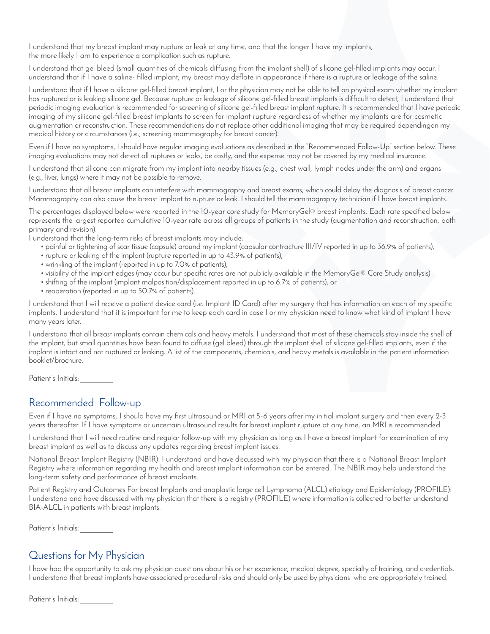I understand that my breast implant may rupture or leak at any time, and that the longer I have my implants, the more likely I am to experience a complication such as rupture.

I understand that gel bleed (small quantities of chemicals diffusing from the implant shell) of silicone gel-filled implants may occur. I understand that if I have a saline- filled implant, my breast may deflate in appearance if there is a rupture or leakage of the saline.

I understand that if I have a silicone gel-filled breast implant, I or the physician may not be able to tell on physical exam whether my implant has ruptured or is leaking silicone gel. Because rupture or leakage of silicone gel-filled breast implants is difficult to detect, I understand that periodic imaging evaluation is recommended for screening of silicone gel-filled breast implant rupture. It is recommended that I have periodic imaging of my silicone gel-filled breast implants to screen for implant rupture regardless of whether my implants are for cosmetic augmentation or reconstruction. These recommendations do not replace other additional imaging that may be required dependingon my medical history or circumstances (i.e., screening mammography for breast cancer).

Even if I have no symptoms, I should have regular imaging evaluations as described in the "Recommended Follow-Up" section below. These imaging evaluations may not detect all ruptures or leaks, be costly, and the expense may not be covered by my medical insurance.

I understand that silicone can migrate from my implant into nearby tissues (e.g., chest wall, lymph nodes under the arm) and organs (e.g., liver, lungs) where it may not be possible to remove.

I understand that all breast implants can interfere with mammography and breast exams, which could delay the diagnosis of breast cancer. Mammography can also cause the breast implant to rupture or leak. I should tell the mammography technician if I have breast implants.

The percentages displayed below were reported in the 10-year core study for MemoryGel® breast implants. Each rate specified below represents the largest reported cumulative 10-year rate across all groups of patients in the study (augmentation and reconstruction, both primary and revision).

I understand that the long-term risks of breast implants may include:

- painful or tightening of scar tissue (capsule) around my implant (capsular contracture III/IV reported in up to 36.9% of patients),
- rupture or leaking of the implant (rupture reported in up to 43.9% of patients),
- wrinkling of the implant (reported in up to 7.0% of patients),
- visibility of the implant edges (may occur but specific rates are not publicly available in the MemoryGel® Core Study analysis)
- shifting of the implant (implant malposition/displacement reported in up to 6.7% of patients), or
- reoperation (reported in up to 50.7% of patients).

I understand that I will receive a patient device card (i.e. Implant ID Card) after my surgery that has information on each of my specific implants. I understand that it is important for me to keep each card in case I or my physician need to know what kind of implant I have many years later.

I understand that all breast implants contain chemicals and heavy metals. I understand that most of these chemicals stay inside the shell of the implant, but small quantities have been found to diffuse (gel bleed) through the implant shell of silicone gel-filled implants, even if the implant is intact and not ruptured or leaking. A list of the components, chemicals, and heavy metals is available in the patient information booklet/brochure.

Patient's Initials:

### Recommended Follow-up

Even if I have no symptoms, I should have my first ultrasound or MRI at 5-6 years after my initial implant surgery and then every 2-3 years thereafter. If I have symptoms or uncertain ultrasound results for breast implant rupture at any time, an MRI is recommended.

I understand that I will need routine and regular follow-up with my physician as long as I have a breast implant for examination of my breast implant as well as to discuss any updates regarding breast implant issues.

National Breast Implant Registry (NBIR): I understand and have discussed with my physician that there is a National Breast Implant Registry where information regarding my health and breast implant information can be entered. The NBIR may help understand the long-term safety and performance of breast implants.

Patient Registry and Outcomes For breast Implants and anaplastic large cell Lymphoma (ALCL) etiology and Epidemiology (PROFILE): I understand and have discussed with my physician that there is a registry (PROFILE) where information is collected to better understand BIA-ALCL in patients with breast implants.

Patient's Initials:

### Questions for My Physician

I have had the opportunity to ask my physician questions about his or her experience, medical degree, specialty of training, and credentials. I understand that breast implants have associated procedural risks and should only be used by physicians who are appropriately trained.

Patient's Initials: